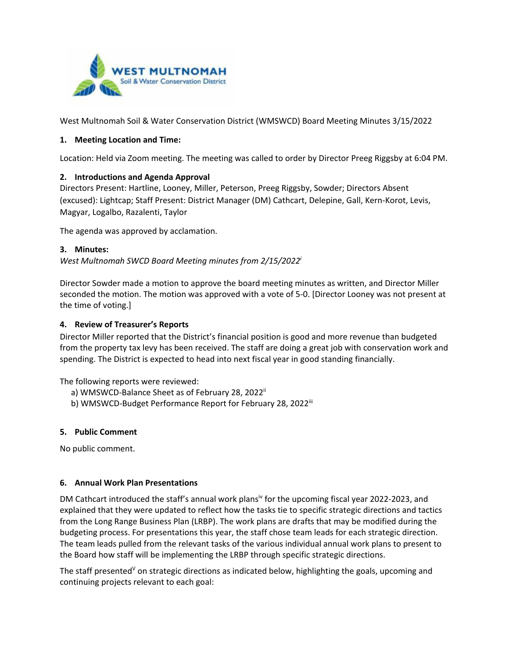

West Multnomah Soil & Water Conservation District (WMSWCD) Board Meeting Minutes 3/15/2022

## **1. Meeting Location and Time:**

Location: Held via Zoom meeting. The meeting was called to order by Director Preeg Riggsby at 6:04 PM.

## **2. Introductions and Agenda Approval**

Directors Present: Hartline, Looney, Miller, Peterson, Preeg Riggsby, Sowder; Directors Absent (excused): Lightcap; Staff Present: District Manager (DM) Cathcart, Delepine, Gall, Kern-Korot, Levis, Magyar, Logalbo, Razalenti, Taylor

The agenda was approved by acclamation.

### **3. Minutes:**

*West Multnomah SWCD Board Meeting minutes from 2/15/2022i*

Director Sowder made a motion to approve the board meeting minutes as written, and Director Miller seconded the motion. The motion was approved with a vote of 5-0. [Director Looney was not present at the time of voting.]

## **4. Review of Treasurer's Reports**

Director Miller reported that the District's financial position is good and more revenue than budgeted from the property tax levy has been received. The staff are doing a great job with conservation work and spending. The District is expected to head into next fiscal year in good standing financially.

The following reports were reviewed:

- a) WMSWCD-Balance Sheet as of February 28, 2022<sup>ii</sup>
- b) WMSWCD-Budget Performance Report for February 28, 2022<sup>iii</sup>

## **5. Public Comment**

No public comment.

## **6. Annual Work Plan Presentations**

DM Cathcart introduced the staff's annual work plansiv for the upcoming fiscal year 2022-2023, and explained that they were updated to reflect how the tasks tie to specific strategic directions and tactics from the Long Range Business Plan (LRBP). The work plans are drafts that may be modified during the budgeting process. For presentations this year, the staff chose team leads for each strategic direction. The team leads pulled from the relevant tasks of the various individual annual work plans to present to the Board how staff will be implementing the LRBP through specific strategic directions.

The staff presented<sup> $V$ </sup> on strategic directions as indicated below, highlighting the goals, upcoming and continuing projects relevant to each goal: